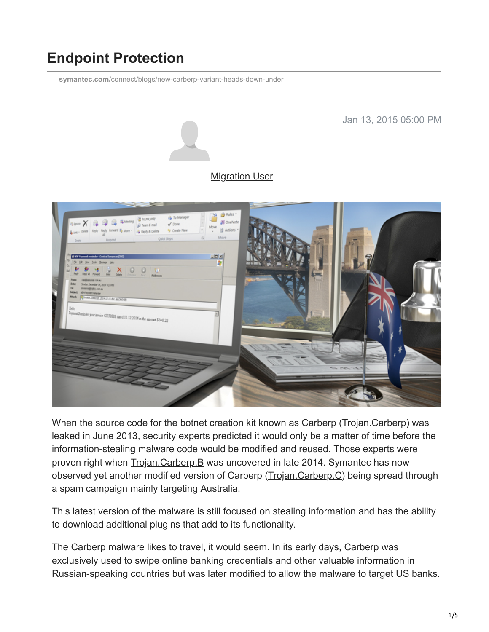# **Endpoint Protection**

**symantec.com**[/connect/blogs/new-carberp-variant-heads-down-under](https://www.symantec.com/connect/blogs/new-carberp-variant-heads-down-under)

Jan 13, 2015 05:00 PM



#### **[Migration User](https://community.broadcom.com/symantecenterprise/network/members/profile?UserKey=909a8e41-f1e7-45af-914a-628128e3819f)**



When the source code for the botnet creation kit known as Carberp [\(Trojan.Carberp](http://www.symantec.com/security_response/writeup.jsp?docid=2010-101313-5632-99)) was leaked in June 2013, security experts predicted it would only be a matter of time before the information-stealing malware code would be modified and reused. Those experts were proven right when [Trojan.Carberp.B](http://www.symantec.com/security_response/writeup.jsp?docid=2014-112019-1116-99) was uncovered in late 2014. Symantec has now observed yet another modified version of Carberp ([Trojan.Carberp.C](http://www.symantec.com/security_response/writeup.jsp?docid=2014-121816-3818-99)) being spread through a spam campaign mainly targeting Australia.

This latest version of the malware is still focused on stealing information and has the ability to download additional plugins that add to its functionality.

The Carberp malware likes to travel, it would seem. In its early days, Carberp was exclusively used to swipe online banking credentials and other valuable information in Russian-speaking countries but was later modified to allow the malware to target US banks.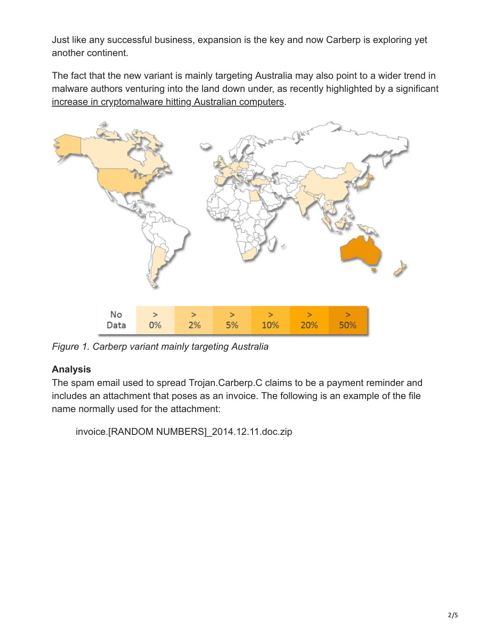Just like any successful business, expansion is the key and now Carberp is exploring yet another continent.

The fact that the new variant is mainly targeting Australia may also point to a wider trend in malware authors venturing into the land down under, as recently highlighted by a significant [increase in cryptomalware hitting Australian computers.](https://community.broadcom.com/symantecenterprise/viewdocument?DocumentKey=c878f0a5-5416-46ca-8a73-8889a53cff2f&CommunityKey=1ecf5f55-9545-44d6-b0f4-4e4a7f5f5e68&tab=librarydocuments)



*Figure 1. Carberp variant mainly targeting Australia*

## **Analysis**

The spam email used to spread Trojan.Carberp.C claims to be a payment reminder and includes an attachment that poses as an invoice. The following is an example of the file name normally used for the attachment:

invoice.[RANDOM NUMBERS]\_2014.12.11.doc.zip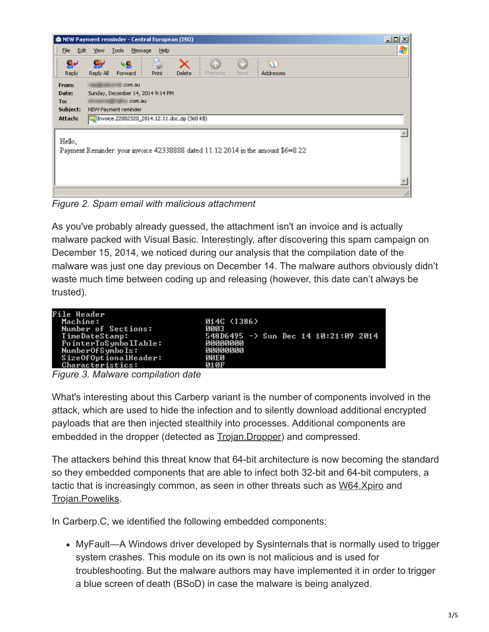

*Figure 2. Spam email with malicious attachment*

As you've probably already guessed, the attachment isn't an invoice and is actually malware packed with Visual Basic. Interestingly, after discovering this spam campaign on December 15, 2014, we noticed during our analysis that the compilation date of the malware was just one day previous on December 14. The malware authors obviously didn't waste much time between coding up and releasing (however, this date can't always be trusted).

*Figure 3. Malware compilation date*

What's interesting about this Carberp variant is the number of components involved in the attack, which are used to hide the infection and to silently download additional encrypted payloads that are then injected stealthily into processes. Additional components are embedded in the dropper (detected as **[Trojan.Dropper](http://www.symantec.com/security_response/writeup.jsp?docid=2002-082718-3007-99)**) and compressed.

The attackers behind this threat know that 64-bit architecture is now becoming the standard so they embedded components that are able to infect both 32-bit and 64-bit computers, a tactic that is increasingly common, as seen in other threats such as [W64.Xpiro](http://www.symantec.com/security_response/writeup.jsp?docid=2013-071018-3714-99) and [Trojan.Poweliks](http://www.symantec.com/security_response/writeup.jsp?docid=2014-080408-5614-99).

In Carberp.C, we identified the following embedded components:

• MyFault—A Windows driver developed by Sysinternals that is normally used to trigger system crashes. This module on its own is not malicious and is used for troubleshooting. But the malware authors may have implemented it in order to trigger a blue screen of death (BSoD) in case the malware is being analyzed.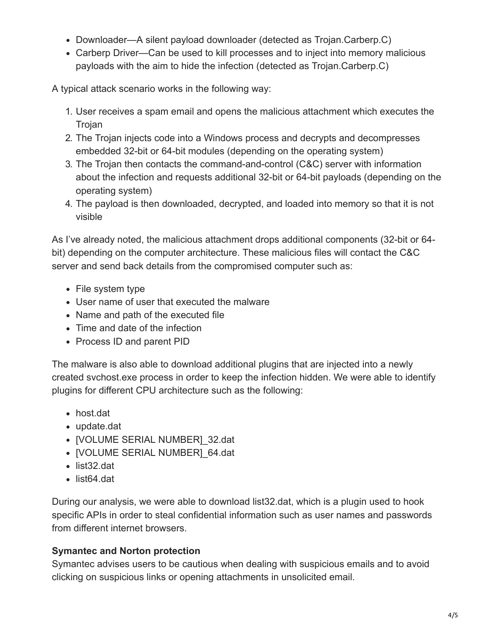- Downloader—A silent payload downloader (detected as Trojan.Carberp.C)
- Carberp Driver—Can be used to kill processes and to inject into memory malicious payloads with the aim to hide the infection (detected as Trojan.Carberp.C)

A typical attack scenario works in the following way:

- 1. User receives a spam email and opens the malicious attachment which executes the Trojan
- 2. The Trojan injects code into a Windows process and decrypts and decompresses embedded 32-bit or 64-bit modules (depending on the operating system)
- 3. The Trojan then contacts the command-and-control (C&C) server with information about the infection and requests additional 32-bit or 64-bit payloads (depending on the operating system)
- 4. The payload is then downloaded, decrypted, and loaded into memory so that it is not visible

As I've already noted, the malicious attachment drops additional components (32-bit or 64 bit) depending on the computer architecture. These malicious files will contact the C&C server and send back details from the compromised computer such as:

- File system type
- User name of user that executed the malware
- Name and path of the executed file
- Time and date of the infection
- Process ID and parent PID

The malware is also able to download additional plugins that are injected into a newly created svchost.exe process in order to keep the infection hidden. We were able to identify plugins for different CPU architecture such as the following:

- host.dat
- update.dat
- [VOLUME SERIAL NUMBER] 32.dat
- [VOLUME SERIAL NUMBER] 64.dat
- list32.dat
- list64.dat

During our analysis, we were able to download list32.dat, which is a plugin used to hook specific APIs in order to steal confidential information such as user names and passwords from different internet browsers.

## **Symantec and Norton protection**

Symantec advises users to be cautious when dealing with suspicious emails and to avoid clicking on suspicious links or opening attachments in unsolicited email.